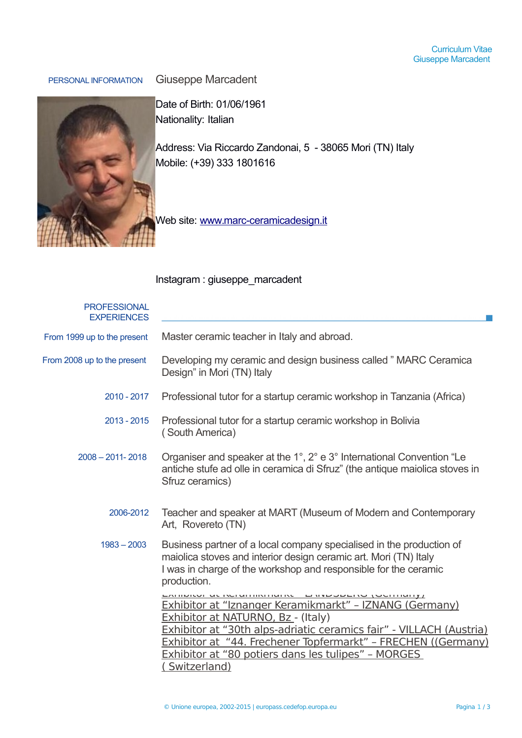## Curriculum Vitae Giuseppe Marcadent

PERSONAL INFORMATION Giuseppe Marcadent



Date of Birth: 01/06/1961 Nationality: Italian

Address: Via Riccardo Zandonai, 5 - 38065 Mori (TN) Italy Mobile: (+39) 333 1801616

Web site: [www.marc-ceramicadesign.it](http://www.marc-ceramicadesign.it/)

## Instagram : giuseppe\_marcadent

| <b>PROFESSIONAL</b><br><b>EXPERIENCES</b> |                                                                                                                                                                                                                                                                                                                                                                   |
|-------------------------------------------|-------------------------------------------------------------------------------------------------------------------------------------------------------------------------------------------------------------------------------------------------------------------------------------------------------------------------------------------------------------------|
| From 1999 up to the present               | Master ceramic teacher in Italy and abroad.                                                                                                                                                                                                                                                                                                                       |
| From 2008 up to the present               | Developing my ceramic and design business called " MARC Ceramica<br>Design" in Mori (TN) Italy                                                                                                                                                                                                                                                                    |
| 2010 - 2017                               | Professional tutor for a startup ceramic workshop in Tanzania (Africa)                                                                                                                                                                                                                                                                                            |
| $2013 - 2015$                             | Professional tutor for a startup ceramic workshop in Bolivia<br>(South America)                                                                                                                                                                                                                                                                                   |
| $2008 - 2011 - 2018$                      | Organiser and speaker at the 1°, 2° e 3° International Convention "Le<br>antiche stufe ad olle in ceramica di Sfruz" (the antique maiolica stoves in<br>Sfruz ceramics)                                                                                                                                                                                           |
| 2006-2012                                 | Teacher and speaker at MART (Museum of Modern and Contemporary<br>Art, Rovereto (TN)                                                                                                                                                                                                                                                                              |
| $1983 - 2003$                             | Business partner of a local company specialised in the production of<br>maiolica stoves and interior design ceramic art. Mori (TN) Italy<br>I was in charge of the workshop and responsible for the ceramic<br>production.                                                                                                                                        |
|                                           | <b>MURUPALITY CONTROLLER AND COMMUNIST</b><br>Exhibitor at "Iznanger Keramikmarkt" - IZNANG (Germany)<br><b>Exhibitor at NATURNO, Bz - (Italy)</b><br>Exhibitor at "30th alps-adriatic ceramics fair" - VILLACH (Austria)<br>Exhibitor at "44. Frechener Topfermarkt" - FRECHEN ((Germany)<br>Exhibitor at "80 potiers dans les tulipes" - MORGES<br>Switzerland) |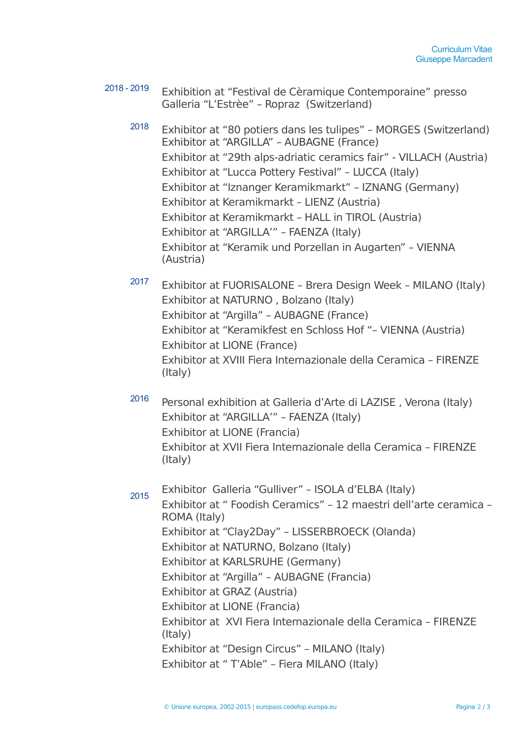- 2018 2019 Exhibition at "Festival de Cèramique Contemporaine" presso Galleria "L'Estrèe" – Ropraz (Switzerland)
	- <sup>2018</sup> Exhibitor at "80 potiers dans les tulipes" MORGES (Switzerland) Exhibitor at "ARGILLA" – AUBAGNE (France) Exhibitor at "29th alps-adriatic ceramics fair" - VILLACH (Austria) Exhibitor at "Lucca Pottery Festival" – LUCCA (Italy) Exhibitor at "Iznanger Keramikmarkt" – IZNANG (Germany) Exhibitor at Keramikmarkt – LIENZ (Austria) Exhibitor at Keramikmarkt – HALL in TIROL (Austria) Exhibitor at "ARGILLA'" – FAENZA (Italy) Exhibitor at "Keramik und Porzellan in Augarten" – VIENNA (Austria)
	- <sup>2017</sup> Exhibitor at FUORISALONE Brera Design Week MILANO (Italy) Exhibitor at NATURNO , Bolzano (Italy) Exhibitor at "Argilla" – AUBAGNE (France) Exhibitor at "Keramikfest en Schloss Hof "– VIENNA (Austria) Exhibitor at LIONE (France) Exhibitor at XVIII Fiera Internazionale della Ceramica – FIRENZE (Italy)
	- <sup>2016</sup> Personal exhibition at Galleria d'Arte di LAZISE , Verona (Italy) Exhibitor at "ARGILLA'" – FAENZA (Italy) Exhibitor at LIONE (Francia) Exhibitor at XVII Fiera Internazionale della Ceramica – FIRENZE (Italy)
	- 2015 Exhibitor Galleria "Gulliver" ISOLA d'ELBA (Italy) Exhibitor at " Foodish Ceramics" – 12 maestri dell'arte ceramica – ROMA (Italy) Exhibitor at "Clay2Day" – LISSERBROECK (Olanda) Exhibitor at NATURNO, Bolzano (Italy) Exhibitor at KARLSRUHE (Germany) Exhibitor at "Argilla" – AUBAGNE (Francia) Exhibitor at GRAZ (Austria) Exhibitor at LIONE (Francia) Exhibitor at XVI Fiera Internazionale della Ceramica – FIRENZE (Italy) Exhibitor at "Design Circus" – MILANO (Italy) Exhibitor at " T'Able" – Fiera MILANO (Italy)